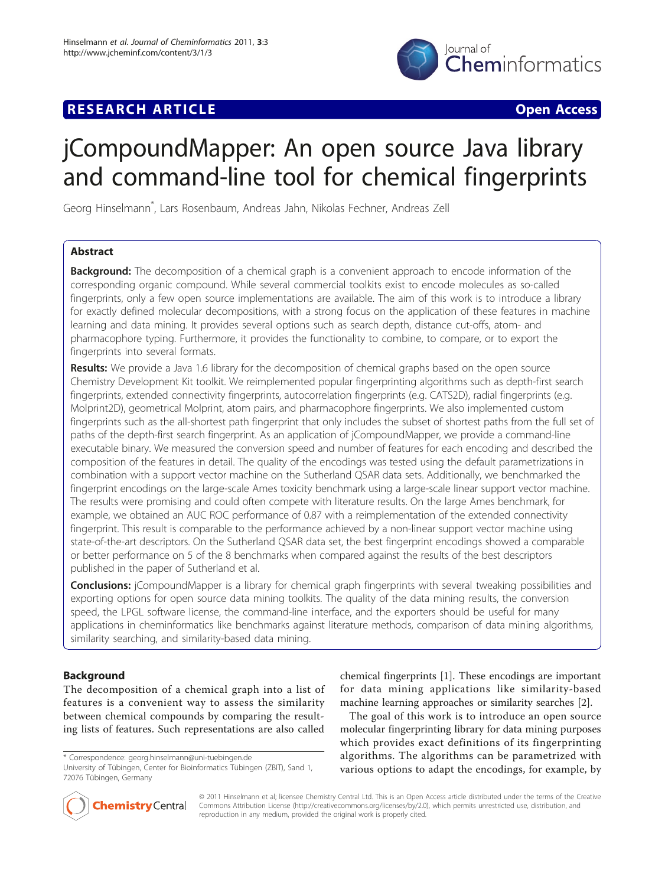

# **RESEARCH ARTICLE Example 2018 12:25 Open Access**

# jCompoundMapper: An open source Java library and command-line tool for chemical fingerprints

Georg Hinselmann\* , Lars Rosenbaum, Andreas Jahn, Nikolas Fechner, Andreas Zell

# Abstract

**Background:** The decomposition of a chemical graph is a convenient approach to encode information of the corresponding organic compound. While several commercial toolkits exist to encode molecules as so-called fingerprints, only a few open source implementations are available. The aim of this work is to introduce a library for exactly defined molecular decompositions, with a strong focus on the application of these features in machine learning and data mining. It provides several options such as search depth, distance cut-offs, atom- and pharmacophore typing. Furthermore, it provides the functionality to combine, to compare, or to export the fingerprints into several formats.

**Results:** We provide a Java 1.6 library for the decomposition of chemical graphs based on the open source Chemistry Development Kit toolkit. We reimplemented popular fingerprinting algorithms such as depth-first search fingerprints, extended connectivity fingerprints, autocorrelation fingerprints (e.g. CATS2D), radial fingerprints (e.g. Molprint2D), geometrical Molprint, atom pairs, and pharmacophore fingerprints. We also implemented custom fingerprints such as the all-shortest path fingerprint that only includes the subset of shortest paths from the full set of paths of the depth-first search fingerprint. As an application of jCompoundMapper, we provide a command-line executable binary. We measured the conversion speed and number of features for each encoding and described the composition of the features in detail. The quality of the encodings was tested using the default parametrizations in combination with a support vector machine on the Sutherland QSAR data sets. Additionally, we benchmarked the fingerprint encodings on the large-scale Ames toxicity benchmark using a large-scale linear support vector machine. The results were promising and could often compete with literature results. On the large Ames benchmark, for example, we obtained an AUC ROC performance of 0.87 with a reimplementation of the extended connectivity fingerprint. This result is comparable to the performance achieved by a non-linear support vector machine using state-of-the-art descriptors. On the Sutherland QSAR data set, the best fingerprint encodings showed a comparable or better performance on 5 of the 8 benchmarks when compared against the results of the best descriptors published in the paper of Sutherland et al.

**Conclusions:** jCompoundMapper is a library for chemical graph fingerprints with several tweaking possibilities and exporting options for open source data mining toolkits. The quality of the data mining results, the conversion speed, the LPGL software license, the command-line interface, and the exporters should be useful for many applications in cheminformatics like benchmarks against literature methods, comparison of data mining algorithms, similarity searching, and similarity-based data mining.

# Background

The decomposition of a chemical graph into a list of features is a convenient way to assess the similarity between chemical compounds by comparing the resulting lists of features. Such representations are also called



The goal of this work is to introduce an open source molecular fingerprinting library for data mining purposes which provides exact definitions of its fingerprinting algorithms. The algorithms can be parametrized with various options to adapt the encodings, for example, by



© 2011 Hinselmann et al; licensee Chemistry Central Ltd. This is an Open Access article distributed under the terms of the Creative Commons Attribution License [\(http://creativecommons.org/licenses/by/2.0](http://creativecommons.org/licenses/by/2.0)), which permits unrestricted use, distribution, and reproduction in any medium, provided the original work is properly cited.

<sup>\*</sup> Correspondence: [georg.hinselmann@uni-tuebingen.de](mailto:georg.hinselmann@uni-tuebingen.de)

University of Tübingen, Center for Bioinformatics Tübingen (ZBIT), Sand 1, 72076 Tübingen, Germany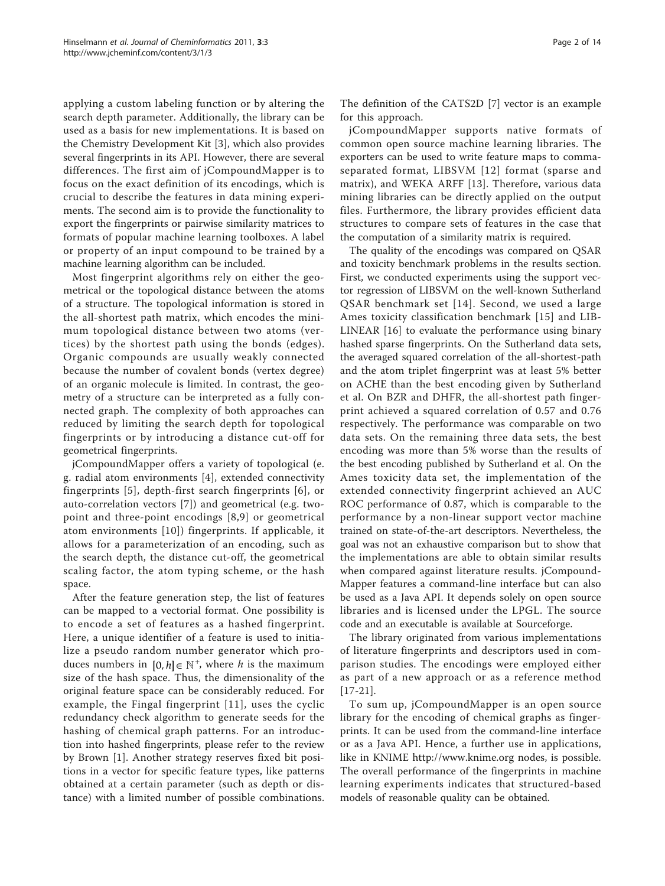applying a custom labeling function or by altering the search depth parameter. Additionally, the library can be used as a basis for new implementations. It is based on the Chemistry Development Kit [\[3](#page-12-0)], which also provides several fingerprints in its API. However, there are several differences. The first aim of jCompoundMapper is to focus on the exact definition of its encodings, which is crucial to describe the features in data mining experiments. The second aim is to provide the functionality to export the fingerprints or pairwise similarity matrices to formats of popular machine learning toolboxes. A label or property of an input compound to be trained by a machine learning algorithm can be included.

Most fingerprint algorithms rely on either the geometrical or the topological distance between the atoms of a structure. The topological information is stored in the all-shortest path matrix, which encodes the minimum topological distance between two atoms (vertices) by the shortest path using the bonds (edges). Organic compounds are usually weakly connected because the number of covalent bonds (vertex degree) of an organic molecule is limited. In contrast, the geometry of a structure can be interpreted as a fully connected graph. The complexity of both approaches can reduced by limiting the search depth for topological fingerprints or by introducing a distance cut-off for geometrical fingerprints.

jCompoundMapper offers a variety of topological (e. g. radial atom environments [[4\]](#page-12-0), extended connectivity fingerprints [[5](#page-12-0)], depth-first search fingerprints [[6](#page-12-0)], or auto-correlation vectors [[7\]](#page-12-0)) and geometrical (e.g. twopoint and three-point encodings [[8](#page-12-0),[9\]](#page-12-0) or geometrical atom environments [[10](#page-12-0)]) fingerprints. If applicable, it allows for a parameterization of an encoding, such as the search depth, the distance cut-off, the geometrical scaling factor, the atom typing scheme, or the hash space.

After the feature generation step, the list of features can be mapped to a vectorial format. One possibility is to encode a set of features as a hashed fingerprint. Here, a unique identifier of a feature is used to initialize a pseudo random number generator which produces numbers in  $[0, h] \in \mathbb{N}^+$ , where *h* is the maximum size of the hash space. Thus, the dimensionality of the original feature space can be considerably reduced. For example, the Fingal fingerprint [\[11](#page-13-0)], uses the cyclic redundancy check algorithm to generate seeds for the hashing of chemical graph patterns. For an introduction into hashed fingerprints, please refer to the review by Brown [\[1](#page-12-0)]. Another strategy reserves fixed bit positions in a vector for specific feature types, like patterns obtained at a certain parameter (such as depth or distance) with a limited number of possible combinations.

The definition of the CATS2D [\[7](#page-12-0)] vector is an example for this approach.

jCompoundMapper supports native formats of common open source machine learning libraries. The exporters can be used to write feature maps to commaseparated format, LIBSVM [[12](#page-13-0)] format (sparse and matrix), and WEKA ARFF [\[13](#page-13-0)]. Therefore, various data mining libraries can be directly applied on the output files. Furthermore, the library provides efficient data structures to compare sets of features in the case that the computation of a similarity matrix is required.

The quality of the encodings was compared on QSAR and toxicity benchmark problems in the results section. First, we conducted experiments using the support vector regression of LIBSVM on the well-known Sutherland QSAR benchmark set [[14\]](#page-13-0). Second, we used a large Ames toxicity classification benchmark [[15](#page-13-0)] and LIB-LINEAR [[16\]](#page-13-0) to evaluate the performance using binary hashed sparse fingerprints. On the Sutherland data sets, the averaged squared correlation of the all-shortest-path and the atom triplet fingerprint was at least 5% better on ACHE than the best encoding given by Sutherland et al. On BZR and DHFR, the all-shortest path fingerprint achieved a squared correlation of 0.57 and 0.76 respectively. The performance was comparable on two data sets. On the remaining three data sets, the best encoding was more than 5% worse than the results of the best encoding published by Sutherland et al. On the Ames toxicity data set, the implementation of the extended connectivity fingerprint achieved an AUC ROC performance of 0.87, which is comparable to the performance by a non-linear support vector machine trained on state-of-the-art descriptors. Nevertheless, the goal was not an exhaustive comparison but to show that the implementations are able to obtain similar results when compared against literature results. jCompound-Mapper features a command-line interface but can also be used as a Java API. It depends solely on open source libraries and is licensed under the LPGL. The source code and an executable is available at Sourceforge.

The library originated from various implementations of literature fingerprints and descriptors used in comparison studies. The encodings were employed either as part of a new approach or as a reference method [[17-21\]](#page-13-0).

To sum up, jCompoundMapper is an open source library for the encoding of chemical graphs as fingerprints. It can be used from the command-line interface or as a Java API. Hence, a further use in applications, like in KNIME<http://www.knime.org> nodes, is possible. The overall performance of the fingerprints in machine learning experiments indicates that structured-based models of reasonable quality can be obtained.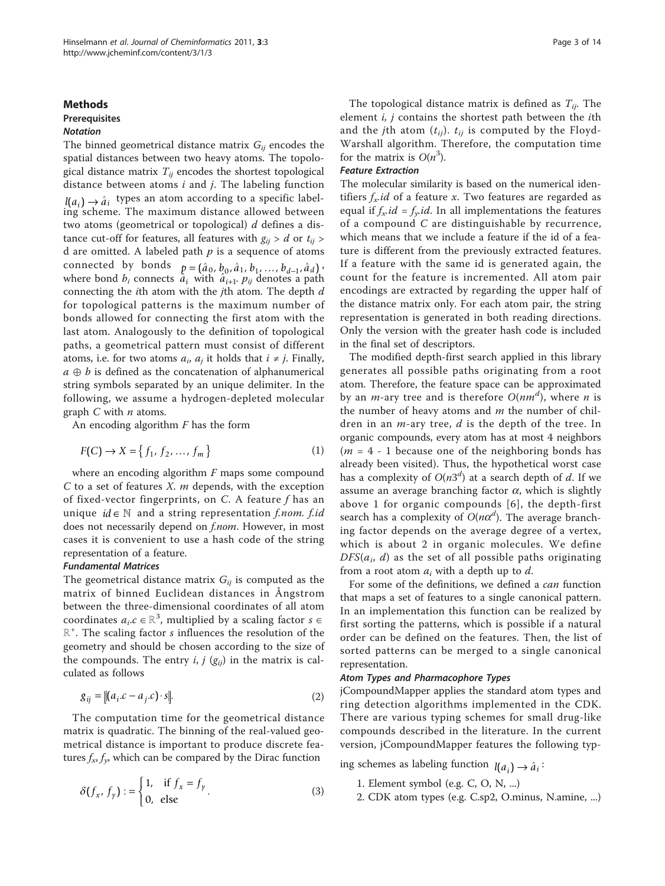#### Methods

#### **Prerequisites**

#### Notation

The binned geometrical distance matrix  $G_{ii}$  encodes the spatial distances between two heavy atoms. The topological distance matrix  $T_{ii}$  encodes the shortest topological distance between atoms  $i$  and  $j$ . The labeling function  $l(a_i) \rightarrow \hat{a}_i$  types an atom according to a specific labeling scheme. The maximum distance allowed between two atoms (geometrical or topological)  $d$  defines a distance cut-off for features, all features with  $g_{ij} > d$  or  $t_{ij} >$ d are omitted. A labeled path  $p$  is a sequence of atoms connected by bonds  $p = (\hat{a}_0, b_0, \hat{a}_1, b_1, ..., b_{d-1}, \hat{a}_d)$ where bond  $b_i$  connects  $\hat{a}_i$  with  $\hat{a}_{i+1}$   $p_{ij}$  denotes a path connecting the *i*th atom with the *j*th atom. The depth  $d$ for topological patterns is the maximum number of bonds allowed for connecting the first atom with the last atom. Analogously to the definition of topological paths, a geometrical pattern must consist of different atoms, i.e. for two atoms  $a_i$ ,  $a_j$  it holds that  $i \neq j$ . Finally,  $a \oplus b$  is defined as the concatenation of alphanumerical string symbols separated by an unique delimiter. In the following, we assume a hydrogen-depleted molecular graph  $C$  with  $n$  atoms.

An encoding algorithm  $F$  has the form

$$
F(C) \to X = \{ f_1, f_2, \dots, f_m \}
$$
 (1)

where an encoding algorithm  $F$  maps some compound C to a set of features  $X$ . *m* depends, with the exception of fixed-vector fingerprints, on  $C$ . A feature  $f$  has an unique  $id ∈ ℕ$  and a string representation *f.nom. f.id* does not necessarily depend on *f.nom*. However, in most cases it is convenient to use a hash code of the string representation of a feature.

#### Fundamental Matrices

The geometrical distance matrix  $G_{ij}$  is computed as the matrix of binned Euclidean distances in Ångstrom between the three-dimensional coordinates of all atom coordinates  $a_i.c \in \mathbb{R}^3$ , multiplied by a scaling factor  $s \in \mathbb{R}^3$ ℝ+ . The scaling factor s influences the resolution of the geometry and should be chosen according to the size of the compounds. The entry *i*, *j*  $(g_{ij})$  in the matrix is calculated as follows

$$
g_{ij} = [[a_i.c - a_j.c) \cdot s]]. \tag{2}
$$

The computation time for the geometrical distance matrix is quadratic. The binning of the real-valued geometrical distance is important to produce discrete features  $f_x, f_y$ , which can be compared by the Dirac function

$$
\delta(f_x, f_y) := \begin{cases} 1, & \text{if } f_x = f_y \\ 0, & \text{else} \end{cases}
$$
 (3)

The topological distance matrix is defined as  $T_{ii}$ . The element  $i$ ,  $j$  contains the shortest path between the  $i$ th and the jth atom  $(t_{ii})$ .  $t_{ii}$  is computed by the Floyd-Warshall algorithm. Therefore, the computation time for the matrix is  $O(n^3)$ .

#### Feature Extraction

The molecular similarity is based on the numerical identifiers  $f_x$  *id* of a feature x. Two features are regarded as equal if  $f_x$  *id* =  $f_y$  *id*. In all implementations the features of a compound C are distinguishable by recurrence, which means that we include a feature if the id of a feature is different from the previously extracted features. If a feature with the same id is generated again, the count for the feature is incremented. All atom pair encodings are extracted by regarding the upper half of the distance matrix only. For each atom pair, the string representation is generated in both reading directions. Only the version with the greater hash code is included in the final set of descriptors.

The modified depth-first search applied in this library generates all possible paths originating from a root atom. Therefore, the feature space can be approximated by an *m*-ary tree and is therefore  $O(nm^d)$ , where *n* is the number of heavy atoms and  $m$  the number of children in an  $m$ -ary tree,  $d$  is the depth of the tree. In organic compounds, every atom has at most 4 neighbors ( $m = 4 - 1$  because one of the neighboring bonds has already been visited). Thus, the hypothetical worst case has a complexity of  $O(n3^d)$  at a search depth of d. If we assume an average branching factor  $\alpha$ , which is slightly above 1 for organic compounds [[6\]](#page-12-0), the depth-first search has a complexity of  $O(n\alpha^d)$ . The average branching factor depends on the average degree of a vertex, which is about 2 in organic molecules. We define  $DFS(a_i, d)$  as the set of all possible paths originating from a root atom  $a_i$  with a depth up to d.

For some of the definitions, we defined a *can* function that maps a set of features to a single canonical pattern. In an implementation this function can be realized by first sorting the patterns, which is possible if a natural order can be defined on the features. Then, the list of sorted patterns can be merged to a single canonical representation.

#### Atom Types and Pharmacophore Types

jCompoundMapper applies the standard atom types and ring detection algorithms implemented in the CDK. There are various typing schemes for small drug-like compounds described in the literature. In the current version, jCompoundMapper features the following typ-

ing schemes as labeling function  $l(a_i) \rightarrow \hat{a}_i$ :

- 1. Element symbol (e.g. C, O, N, ...)
- 2. CDK atom types (e.g. C.sp2, O.minus, N.amine, ...)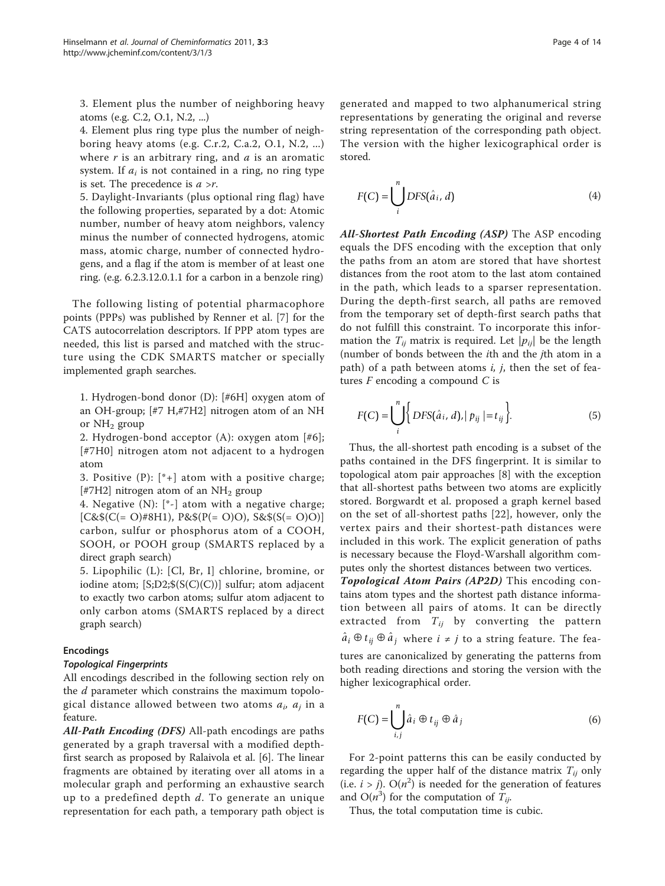3. Element plus the number of neighboring heavy atoms (e.g. C.2, O.1, N.2, ...)

4. Element plus ring type plus the number of neighboring heavy atoms (e.g. C.r.2, C.a.2, O.1, N.2, ...) where  $r$  is an arbitrary ring, and  $a$  is an aromatic system. If  $a_i$  is not contained in a ring, no ring type is set. The precedence is  $a > r$ .

5. Daylight-Invariants (plus optional ring flag) have the following properties, separated by a dot: Atomic number, number of heavy atom neighbors, valency minus the number of connected hydrogens, atomic mass, atomic charge, number of connected hydrogens, and a flag if the atom is member of at least one ring. (e.g. 6.2.3.12.0.1.1 for a carbon in a benzole ring)

The following listing of potential pharmacophore points (PPPs) was published by Renner et al. [[7\]](#page-12-0) for the CATS autocorrelation descriptors. If PPP atom types are needed, this list is parsed and matched with the structure using the CDK SMARTS matcher or specially implemented graph searches.

1. Hydrogen-bond donor (D): [#6H] oxygen atom of an OH-group; [#7 H,#7H2] nitrogen atom of an NH or  $NH<sub>2</sub>$  group

2. Hydrogen-bond acceptor (A): oxygen atom [#6]; [#7H0] nitrogen atom not adjacent to a hydrogen atom

3. Positive (P): [\*+] atom with a positive charge; [#7H2] nitrogen atom of an  $NH<sub>2</sub>$  group

4. Negative (N): [\*-] atom with a negative charge;  $[C&$(C=O)$ #8H1),  $P&$(P(=O)O)$ ,  $S&$(S(=O)O)]$ carbon, sulfur or phosphorus atom of a COOH, SOOH, or POOH group (SMARTS replaced by a direct graph search)

5. Lipophilic (L): [Cl, Br, I] chlorine, bromine, or iodine atom;  $[S;D2;$(S(C)(C))]$  sulfur; atom adjacent to exactly two carbon atoms; sulfur atom adjacent to only carbon atoms (SMARTS replaced by a direct graph search)

#### Encodings

#### Topological Fingerprints

All encodings described in the following section rely on the d parameter which constrains the maximum topological distance allowed between two atoms  $a_i$ ,  $a_i$  in a feature.

All-Path Encoding (DFS) All-path encodings are paths generated by a graph traversal with a modified depthfirst search as proposed by Ralaivola et al. [[6\]](#page-12-0). The linear fragments are obtained by iterating over all atoms in a molecular graph and performing an exhaustive search up to a predefined depth  $d$ . To generate an unique representation for each path, a temporary path object is

generated and mapped to two alphanumerical string representations by generating the original and reverse string representation of the corresponding path object. The version with the higher lexicographical order is stored.

$$
F(C) = \bigcup_{i}^{n} DFS(\hat{a}_{i}, d)
$$
 (4)

All-Shortest Path Encoding (ASP) The ASP encoding equals the DFS encoding with the exception that only the paths from an atom are stored that have shortest distances from the root atom to the last atom contained in the path, which leads to a sparser representation. During the depth-first search, all paths are removed from the temporary set of depth-first search paths that do not fulfill this constraint. To incorporate this information the  $T_{ii}$  matrix is required. Let  $|p_{ii}|$  be the length (number of bonds between the ith and the jth atom in a path) of a path between atoms  $i$ ,  $j$ , then the set of features  $F$  encoding a compound  $C$  is

$$
F(C) = \bigcup_{i}^{n} \left\{ DFS(\hat{a}_{i}, d), |p_{ij}| = t_{ij} \right\}.
$$
 (5)

Thus, the all-shortest path encoding is a subset of the paths contained in the DFS fingerprint. It is similar to topological atom pair approaches [[8\]](#page-12-0) with the exception that all-shortest paths between two atoms are explicitly stored. Borgwardt et al. proposed a graph kernel based on the set of all-shortest paths [\[22\]](#page-13-0), however, only the vertex pairs and their shortest-path distances were included in this work. The explicit generation of paths is necessary because the Floyd-Warshall algorithm computes only the shortest distances between two vertices.

Topological Atom Pairs (AP2D) This encoding contains atom types and the shortest path distance information between all pairs of atoms. It can be directly extracted from  $T_{ij}$  by converting the pattern  $\hat{a}_i \oplus t_{ij} \oplus \hat{a}_j$  where  $i \neq j$  to a string feature. The features are canonicalized by generating the patterns from both reading directions and storing the version with the higher lexicographical order.

$$
F(C) = \bigcup_{i,j}^{n} \hat{a}_i \oplus t_{ij} \oplus \hat{a}_j
$$
 (6)

For 2-point patterns this can be easily conducted by regarding the upper half of the distance matrix  $T_{ij}$  only (i.e.  $i > j$ ).  $O(n^2)$  is needed for the generation of features and  $O(n^3)$  for the computation of  $T_{ij}$ .

Thus, the total computation time is cubic.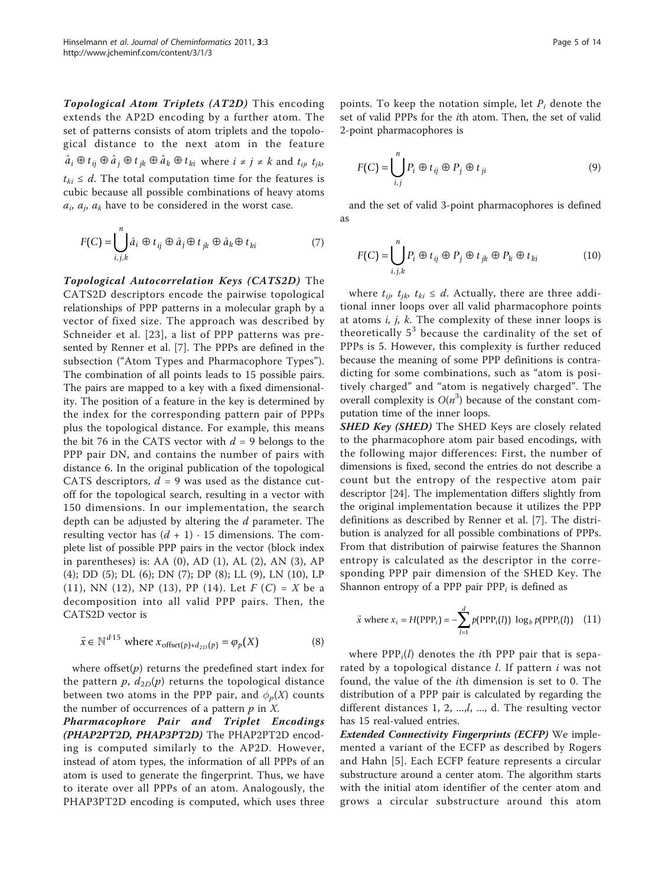Topological Atom Triplets (AT2D) This encoding extends the AP2D encoding by a further atom. The set of patterns consists of atom triplets and the topological distance to the next atom in the feature  $\hat{a}_i \oplus t_{ij} \oplus \hat{a}_j \oplus t_{jk} \oplus \hat{a}_k \oplus t_{ki}$  where  $i \neq j \neq k$  and  $t_{ij}$ ,  $t_{jk}$  $t_{ki} \leq d$ . The total computation time for the features is cubic because all possible combinations of heavy atoms  $a_i$ ,  $a_j$ ,  $a_k$  have to be considered in the worst case.

$$
F(C) = \bigcup_{i,j,k}^{n} \hat{a}_i \oplus t_{ij} \oplus \hat{a}_j \oplus t_{jk} \oplus \hat{a}_k \oplus t_{ki}
$$
 (7)

Topological Autocorrelation Keys (CATS2D) The CATS2D descriptors encode the pairwise topological relationships of PPP patterns in a molecular graph by a vector of fixed size. The approach was described by Schneider et al. [[23\]](#page-13-0), a list of PPP patterns was presented by Renner et al. [\[7](#page-12-0)]. The PPPs are defined in the subsection ("Atom Types and Pharmacophore Types"). The combination of all points leads to 15 possible pairs. The pairs are mapped to a key with a fixed dimensionality. The position of a feature in the key is determined by the index for the corresponding pattern pair of PPPs plus the topological distance. For example, this means the bit 76 in the CATS vector with  $d = 9$  belongs to the PPP pair DN, and contains the number of pairs with distance 6. In the original publication of the topological CATS descriptors,  $d = 9$  was used as the distance cutoff for the topological search, resulting in a vector with 150 dimensions. In our implementation, the search depth can be adjusted by altering the  $d$  parameter. The resulting vector has  $(d + 1) \cdot 15$  dimensions. The complete list of possible PPP pairs in the vector (block index in parentheses) is: AA (0), AD (1), AL (2), AN (3), AP (4); DD (5); DL (6); DN (7); DP (8); LL (9), LN (10), LP (11), NN (12), NP (13), PP (14). Let  $F(C) = X$  be a decomposition into all valid PPP pairs. Then, the CATS2D vector is

$$
\vec{x} \in \mathbb{N}^{d \cdot 15} \text{ where } x_{\text{offset}(p) + d_{2D}(p)} = \varphi_p(X) \tag{8}
$$

where offset $(p)$  returns the predefined start index for the pattern p,  $d_{2D}(p)$  returns the topological distance between two atoms in the PPP pair, and  $\phi_p(X)$  counts the number of occurrences of a pattern  $p$  in  $X$ .

Pharmacophore Pair and Triplet Encodings (PHAP2PT2D, PHAP3PT2D) The PHAP2PT2D encoding is computed similarly to the AP2D. However, instead of atom types, the information of all PPPs of an atom is used to generate the fingerprint. Thus, we have to iterate over all PPPs of an atom. Analogously, the PHAP3PT2D encoding is computed, which uses three

points. To keep the notation simple, let  $P_i$  denote the set of valid PPPs for the ith atom. Then, the set of valid 2-point pharmacophores is

$$
F(C) = \bigcup_{i,j}^{n} P_i \oplus t_{ij} \oplus P_j \oplus t_{ji}
$$
 (9)

and the set of valid 3-point pharmacophores is defined as

$$
F(C) = \bigcup_{i,j,k}^{n} P_i \oplus t_{ij} \oplus P_j \oplus t_{jk} \oplus P_k \oplus t_{ki}
$$
 (10)

where  $t_{ij}$ ,  $t_{jk}$ ,  $t_{ki} \leq d$ . Actually, there are three additional inner loops over all valid pharmacophore points at atoms  $i$ ,  $j$ ,  $k$ . The complexity of these inner loops is theoretically  $5<sup>3</sup>$  because the cardinality of the set of PPPs is 5. However, this complexity is further reduced because the meaning of some PPP definitions is contradicting for some combinations, such as "atom is positively charged" and "atom is negatively charged". The overall complexity is  $O(n^3)$  because of the constant computation time of the inner loops.

SHED Key (SHED) The SHED Keys are closely related to the pharmacophore atom pair based encodings, with the following major differences: First, the number of dimensions is fixed, second the entries do not describe a count but the entropy of the respective atom pair descriptor [\[24](#page-13-0)]. The implementation differs slightly from the original implementation because it utilizes the PPP definitions as described by Renner et al. [[7\]](#page-12-0). The distribution is analyzed for all possible combinations of PPPs. From that distribution of pairwise features the Shannon entropy is calculated as the descriptor in the corresponding PPP pair dimension of the SHED Key. The Shannon entropy of a PPP pair  $PPP_i$  is defined as

$$
\vec{x} \text{ where } x_i = H(\text{PPP}_i) = -\sum_{l=1}^d p(\text{PPP}_i(l)) \log_b p(\text{PPP}_i(l)) \quad (11)
$$

where  $PPP<sub>i</sub>(l)$  denotes the *i*th PPP pair that is separated by a topological distance  $l$ . If pattern  $i$  was not found, the value of the ith dimension is set to 0. The distribution of a PPP pair is calculated by regarding the different distances 1, 2, ..., $l$ , ..., d. The resulting vector has 15 real-valued entries.

Extended Connectivity Fingerprints (ECFP) We implemented a variant of the ECFP as described by Rogers and Hahn [[5\]](#page-12-0). Each ECFP feature represents a circular substructure around a center atom. The algorithm starts with the initial atom identifier of the center atom and grows a circular substructure around this atom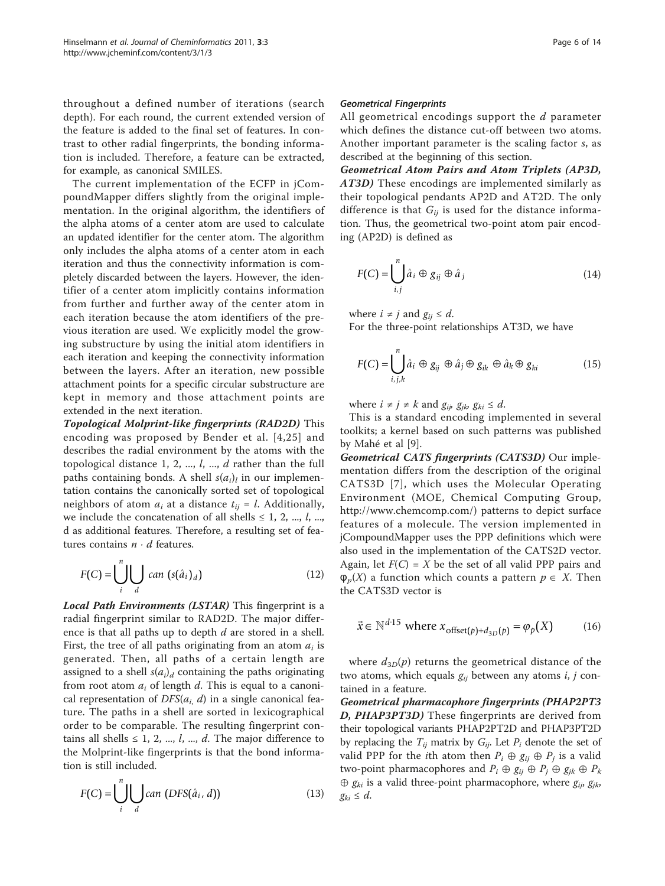throughout a defined number of iterations (search depth). For each round, the current extended version of the feature is added to the final set of features. In contrast to other radial fingerprints, the bonding information is included. Therefore, a feature can be extracted, for example, as canonical SMILES.

The current implementation of the ECFP in jCompoundMapper differs slightly from the original implementation. In the original algorithm, the identifiers of the alpha atoms of a center atom are used to calculate an updated identifier for the center atom. The algorithm only includes the alpha atoms of a center atom in each iteration and thus the connectivity information is completely discarded between the layers. However, the identifier of a center atom implicitly contains information from further and further away of the center atom in each iteration because the atom identifiers of the previous iteration are used. We explicitly model the growing substructure by using the initial atom identifiers in each iteration and keeping the connectivity information between the layers. After an iteration, new possible attachment points for a specific circular substructure are kept in memory and those attachment points are extended in the next iteration.

Topological Molprint-like fingerprints (RAD2D) This encoding was proposed by Bender et al. [[4,](#page-12-0)[25](#page-13-0)] and describes the radial environment by the atoms with the topological distance 1, 2, ...,  $l$ , ...,  $d$  rather than the full paths containing bonds. A shell  $s(a_i)_i$  in our implementation contains the canonically sorted set of topological neighbors of atom  $a_i$  at a distance  $t_{ii} = l$ . Additionally, we include the concatenation of all shells  $\leq 1, 2, ..., l, ...,$ d as additional features. Therefore, a resulting set of features contains  $n \cdot d$  features.

$$
F(C) = \bigcup_{i}^{n} \bigcup_{d} can (s(\hat{a}_{i})_{d})
$$
 (12)

Local Path Environments (LSTAR) This fingerprint is a radial fingerprint similar to RAD2D. The major difference is that all paths up to depth  $d$  are stored in a shell. First, the tree of all paths originating from an atom  $a_i$  is generated. Then, all paths of a certain length are assigned to a shell  $s(a_i)_d$  containing the paths originating from root atom  $a_i$  of length d. This is equal to a canonical representation of  $DFS(a_i, d)$  in a single canonical feature. The paths in a shell are sorted in lexicographical order to be comparable. The resulting fingerprint contains all shells  $\leq 1, 2, ..., l, ..., d$ . The major difference to the Molprint-like fingerprints is that the bond information is still included.

$$
F(C) = \bigcup_{i}^{n} \bigcup_{d} can (DFS(\hat{a}_{i}, d))
$$
 (13)

#### Geometrical Fingerprints

All geometrical encodings support the  $d$  parameter which defines the distance cut-off between two atoms. Another important parameter is the scaling factor s, as described at the beginning of this section.

Geometrical Atom Pairs and Atom Triplets (AP3D, AT3D) These encodings are implemented similarly as their topological pendants AP2D and AT2D. The only difference is that  $G_{ii}$  is used for the distance information. Thus, the geometrical two-point atom pair encoding (AP2D) is defined as

$$
F(C) = \bigcup_{i,j}^{n} \hat{a}_i \oplus g_{ij} \oplus \hat{a}_j
$$
 (14)

where  $i \neq j$  and  $g_{ij} \leq d$ .

For the three-point relationships AT3D, we have

$$
F(C) = \bigcup_{i,j,k}^{n} \hat{a}_i \oplus g_{ij} \oplus \hat{a}_j \oplus g_{ik} \oplus \hat{a}_k \oplus g_{ki}
$$
 (15)

where  $i \neq j \neq k$  and  $g_{ij}, g_{jk}, g_{ki} \leq d$ .

This is a standard encoding implemented in several toolkits; a kernel based on such patterns was published by Mahé et al [[9\]](#page-12-0).

Geometrical CATS fingerprints (CATS3D) Our implementation differs from the description of the original CATS3D [[7](#page-12-0)], which uses the Molecular Operating Environment (MOE, Chemical Computing Group, <http://www.chemcomp.com/>) patterns to depict surface features of a molecule. The version implemented in jCompoundMapper uses the PPP definitions which were also used in the implementation of the CATS2D vector. Again, let  $F(C) = X$  be the set of all valid PPP pairs and  $\varphi_p(X)$  a function which counts a pattern  $p \in X$ . Then the CATS3D vector is

$$
\vec{x} \in \mathbb{N}^{d \cdot 15} \text{ where } x_{\text{offset}(p) + d_{3D}(p)} = \varphi_p(X) \tag{16}
$$

where  $d_{3D}(p)$  returns the geometrical distance of the two atoms, which equals  $g_{ij}$  between any atoms *i*, *j* contained in a feature.

Geometrical pharmacophore fingerprints (PHAP2PT3 D, PHAP3PT3D) These fingerprints are derived from their topological variants PHAP2PT2D and PHAP3PT2D by replacing the  $T_{ii}$  matrix by  $G_{ii}$ . Let  $P_i$  denote the set of valid PPP for the *i*th atom then  $P_i \oplus g_{ij} \oplus P_j$  is a valid two-point pharmacophores and  $P_i \oplus g_{ij} \oplus P_j \oplus g_{jk} \oplus P_k$  $\oplus$   $g_{ki}$  is a valid three-point pharmacophore, where  $g_{ij}$ ,  $g_{jk}$ ,  $g_{ki} \leq d$ .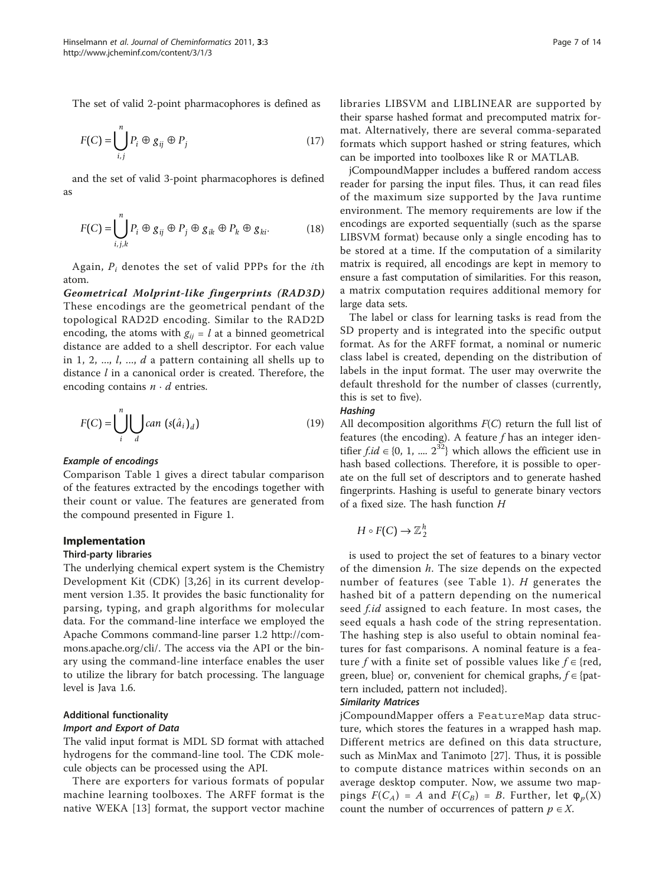The set of valid 2-point pharmacophores is defined as

$$
F(C) = \bigcup_{i,j}^{n} P_i \oplus g_{ij} \oplus P_j
$$
 (17)

and the set of valid 3-point pharmacophores is defined as

$$
F(C) = \bigcup_{i,j,k}^{n} P_i \oplus g_{ij} \oplus P_j \oplus g_{ik} \oplus P_k \oplus g_{ki}.
$$
 (18)

Again,  $P_i$  denotes the set of valid PPPs for the *i*th atom.

Geometrical Molprint-like fingerprints (RAD3D) These encodings are the geometrical pendant of the topological RAD2D encoding. Similar to the RAD2D encoding, the atoms with  $g_{ii} = l$  at a binned geometrical distance are added to a shell descriptor. For each value in 1, 2, ...,  $l$ , ...,  $d$  a pattern containing all shells up to distance  $l$  in a canonical order is created. Therefore, the encoding contains  $n \cdot d$  entries.

$$
F(C) = \bigcup_{i}^{n} \bigcup_{d} can (s(\hat{a}_{i})_{d})
$$
\n(19)

#### Example of encodings

Comparison Table [1](#page-7-0) gives a direct tabular comparison of the features extracted by the encodings together with their count or value. The features are generated from the compound presented in Figure [1](#page-7-0).

#### Implementation

#### Third-party libraries

The underlying chemical expert system is the Chemistry Development Kit (CDK) [\[3,](#page-12-0)[26](#page-13-0)] in its current development version 1.35. It provides the basic functionality for parsing, typing, and graph algorithms for molecular data. For the command-line interface we employed the Apache Commons command-line parser 1.2 [http://com](http://commons.apache.org/cli/)[mons.apache.org/cli/.](http://commons.apache.org/cli/) The access via the API or the binary using the command-line interface enables the user to utilize the library for batch processing. The language level is Java 1.6.

# Additional functionality

#### Import and Export of Data

The valid input format is MDL SD format with attached hydrogens for the command-line tool. The CDK molecule objects can be processed using the API.

There are exporters for various formats of popular machine learning toolboxes. The ARFF format is the native WEKA [[13\]](#page-13-0) format, the support vector machine libraries LIBSVM and LIBLINEAR are supported by their sparse hashed format and precomputed matrix format. Alternatively, there are several comma-separated formats which support hashed or string features, which can be imported into toolboxes like R or MATLAB.

jCompoundMapper includes a buffered random access reader for parsing the input files. Thus, it can read files of the maximum size supported by the Java runtime environment. The memory requirements are low if the encodings are exported sequentially (such as the sparse LIBSVM format) because only a single encoding has to be stored at a time. If the computation of a similarity matrix is required, all encodings are kept in memory to ensure a fast computation of similarities. For this reason, a matrix computation requires additional memory for large data sets.

The label or class for learning tasks is read from the SD property and is integrated into the specific output format. As for the ARFF format, a nominal or numeric class label is created, depending on the distribution of labels in the input format. The user may overwrite the default threshold for the number of classes (currently, this is set to five).

#### **Hashing**

All decomposition algorithms  $F(C)$  return the full list of features (the encoding). A feature  $f$  has an integer identifier  $f_id \in \{0, 1, ..., 2^{32}\}\$  which allows the efficient use in hash based collections. Therefore, it is possible to operate on the full set of descriptors and to generate hashed fingerprints. Hashing is useful to generate binary vectors of a fixed size. The hash function H

$$
H \circ F(C) \to \mathbb{Z}_2^h
$$

is used to project the set of features to a binary vector of the dimension  $h$ . The size depends on the expected number of features (see Table [1\)](#page-7-0).  $H$  generates the hashed bit of a pattern depending on the numerical seed f.id assigned to each feature. In most cases, the seed equals a hash code of the string representation. The hashing step is also useful to obtain nominal features for fast comparisons. A nominal feature is a feature f with a finite set of possible values like  $f \in \{ red,$ green, blue} or, convenient for chemical graphs,  $f \in \{pat$ tern included, pattern not included}.

#### Similarity Matrices

jCompoundMapper offers a FeatureMap data structure, which stores the features in a wrapped hash map. Different metrics are defined on this data structure, such as MinMax and Tanimoto [\[27](#page-13-0)]. Thus, it is possible to compute distance matrices within seconds on an average desktop computer. Now, we assume two mappings  $F(C_A) = A$  and  $F(C_B) = B$ . Further, let  $\varphi_p(X)$ count the number of occurrences of pattern  $p \in X$ .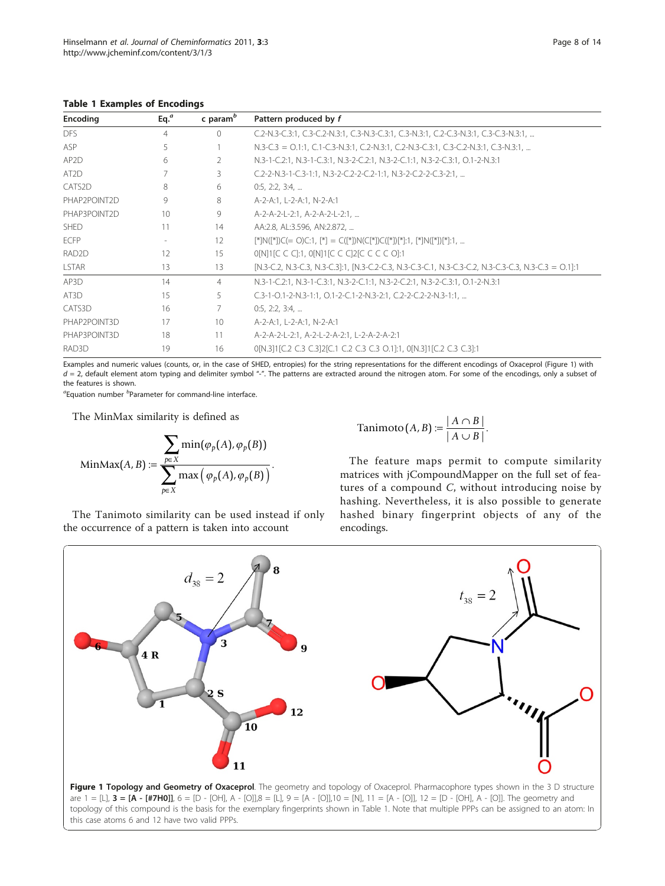<span id="page-7-0"></span>Table 1 Examples of Encodings

| Encoding           | Eq. $^a$       | c param <sup>b</sup> | Pattern produced by f                                                                                                                                                                                                                                                                                                                                                                                |
|--------------------|----------------|----------------------|------------------------------------------------------------------------------------------------------------------------------------------------------------------------------------------------------------------------------------------------------------------------------------------------------------------------------------------------------------------------------------------------------|
| <b>DFS</b>         | $\overline{4}$ | $\bigcirc$           | C.2-N.3-C.3:1, C.3-C.2-N.3:1, C.3-N.3-C.3:1, C.3-N.3:1, C.2-C.3-N.3:1, C.3-C.3-N.3:1,                                                                                                                                                                                                                                                                                                                |
| <b>ASP</b>         | 5              |                      | N.3-C.3 = O.1:1, C.1-C.3-N.3:1, C.2-N.3:1, C.2-N.3-C.3:1, C.3-C.2-N.3:1, C.3-N.3:1,                                                                                                                                                                                                                                                                                                                  |
| AP <sub>2</sub> D  | 6              | 2                    | N.3-1-C.2:1, N.3-1-C.3:1, N.3-2-C.2:1, N.3-2-C.1:1, N.3-2-C.3:1, O.1-2-N.3:1                                                                                                                                                                                                                                                                                                                         |
| AT <sub>2</sub> D  |                | 3                    | C.2-2-N.3-1-C.3-1:1, N.3-2-C.2-2-C.2-1:1, N.3-2-C.2-2-C.3-2:1,                                                                                                                                                                                                                                                                                                                                       |
| CATS2D             | 8              | 6                    | 0:5, 2:2, 3:4,                                                                                                                                                                                                                                                                                                                                                                                       |
| PHAP2POINT2D       | 9              | 8                    | A-2-A:1, L-2-A:1, N-2-A:1                                                                                                                                                                                                                                                                                                                                                                            |
| PHAP3POINT2D       | 10             | 9                    | A-2-A-2-L-2:1, A-2-A-2-L-2:1,                                                                                                                                                                                                                                                                                                                                                                        |
| <b>SHED</b>        | 11             | 14                   | AA:2.8, AL:3.596, AN:2.872,                                                                                                                                                                                                                                                                                                                                                                          |
| <b>FCFP</b>        |                | 12                   | ${\binom{4}{1}}{\binom{4}{2}}{\binom{4}{1}}{\binom{4}{1}}{\binom{4}{1}}{\binom{4}{1}}{\binom{4}{1}}{\binom{4}{1}}{\binom{4}{1}}{\binom{4}{1}}{\binom{4}{1}}{\binom{4}{1}}{\binom{4}{1}}{\binom{4}{1}}{\binom{4}{1}}{\binom{4}{1}}{\binom{4}{1}}{\binom{4}{1}}{\binom{4}{1}}{\binom{4}{1}}{\binom{4}{1}}{\binom{4}{1}}{\binom{4}{1}}{\binom{4}{1}}{\binom{4}{1}}{\binom{4}{1}}{\binom{4}{1}}{\binom{$ |
| RAD <sub>2</sub> D | 12             | 15                   | 0[N]1[C C C]:1, 0[N]1[C C C]2[C C C C O]:1                                                                                                                                                                                                                                                                                                                                                           |
| LSTAR              | 13             | 13                   | [N.3-C.2, N.3-C.3, N.3-C.3]:1, [N.3-C.2-C.3, N.3-C.3-C.1, N.3-C.3-C.2, N.3-C.3-C.3, N.3-C.3 = O.1]:1                                                                                                                                                                                                                                                                                                 |
| AP3D               | 14             | $\overline{4}$       | N.3-1-C.2:1, N.3-1-C.3:1, N.3-2-C.1:1, N.3-2-C.2:1, N.3-2-C.3:1, O.1-2-N.3:1                                                                                                                                                                                                                                                                                                                         |
| AT3D               | 15             | 5                    | C.3-1-O.1-2-N.3-1:1, O.1-2-C.1-2-N.3-2:1, C.2-2-C.2-2-N.3-1:1,                                                                                                                                                                                                                                                                                                                                       |
| CATS3D             | 16             |                      | 0:5, 2:2, 3:4,                                                                                                                                                                                                                                                                                                                                                                                       |
| PHAP2POINT3D       | 17             | 10 <sup>°</sup>      | A-2-A:1, L-2-A:1, N-2-A:1                                                                                                                                                                                                                                                                                                                                                                            |
| PHAP3POINT3D       | 18             | 11                   | A-2-A-2-L-2:1, A-2-L-2-A-2:1, L-2-A-2-A-2:1                                                                                                                                                                                                                                                                                                                                                          |
| RAD3D              | 19             | 16                   | 0[N.3]1[C.2 C.3 C.3]2[C.1 C.2 C.3 C.3 O.1]:1, 0[N.3]1[C.2 C.3 C.3]:1                                                                                                                                                                                                                                                                                                                                 |

Examples and numeric values (counts, or, in the case of SHED, entropies) for the string representations for the different encodings of Oxaceprol (Figure 1) with  $d = 2$ , default element atom typing and delimiter symbol "-". The patterns are extracted around the nitrogen atom. For some of the encodings, only a subset of the features is shown.

<sup>a</sup>Equation number <sup>b</sup>Parameter for command-line interface.

The MinMax similarity is defined as

$$
\text{MinMax}(A, B) := \frac{\displaystyle\sum_{p \in X} \min(\varphi_p(A), \varphi_p(B))}{\displaystyle\sum_{p \in X} \max(\varphi_p(A), \varphi_p(B))}.
$$

The Tanimoto similarity can be used instead if only the occurrence of a pattern is taken into account



The feature maps permit to compute similarity matrices with jCompoundMapper on the full set of features of a compound C, without introducing noise by hashing. Nevertheless, it is also possible to generate hashed binary fingerprint objects of any of the encodings.

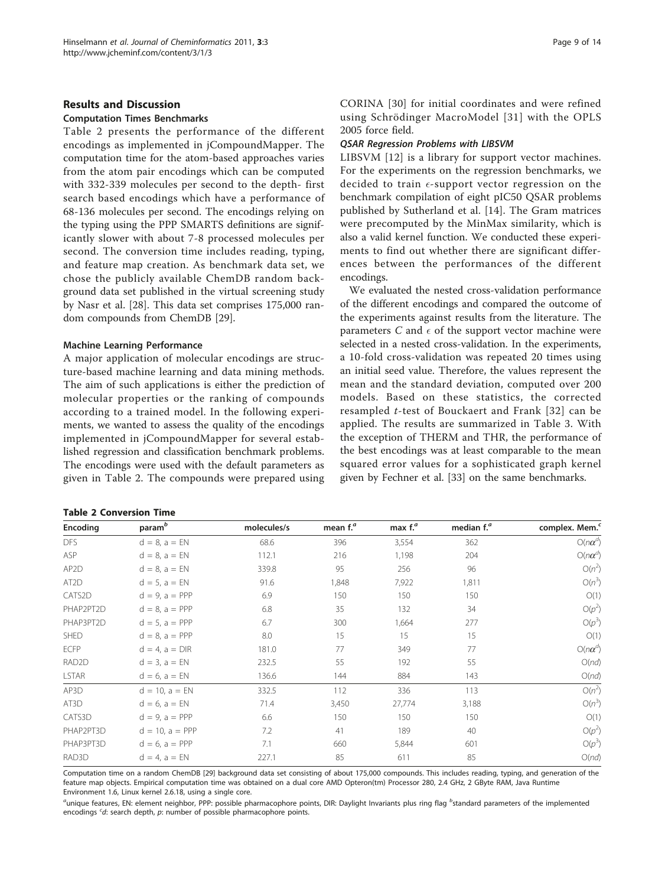#### Results and Discussion

#### Computation Times Benchmarks

Table 2 presents the performance of the different encodings as implemented in jCompoundMapper. The computation time for the atom-based approaches varies from the atom pair encodings which can be computed with 332-339 molecules per second to the depth- first search based encodings which have a performance of 68-136 molecules per second. The encodings relying on the typing using the PPP SMARTS definitions are significantly slower with about 7-8 processed molecules per second. The conversion time includes reading, typing, and feature map creation. As benchmark data set, we chose the publicly available ChemDB random background data set published in the virtual screening study by Nasr et al. [[28\]](#page-13-0). This data set comprises 175,000 random compounds from ChemDB [[29\]](#page-13-0).

#### Machine Learning Performance

A major application of molecular encodings are structure-based machine learning and data mining methods. The aim of such applications is either the prediction of molecular properties or the ranking of compounds according to a trained model. In the following experiments, we wanted to assess the quality of the encodings implemented in jCompoundMapper for several established regression and classification benchmark problems. The encodings were used with the default parameters as given in Table 2. The compounds were prepared using

#### Table 2 Conversion Time

CORINA [[30](#page-13-0)] for initial coordinates and were refined using Schrödinger MacroModel [[31](#page-13-0)] with the OPLS 2005 force field.

#### QSAR Regression Problems with LIBSVM

LIBSVM [[12](#page-13-0)] is a library for support vector machines. For the experiments on the regression benchmarks, we decided to train  $\epsilon$ -support vector regression on the benchmark compilation of eight pIC50 QSAR problems published by Sutherland et al. [\[14](#page-13-0)]. The Gram matrices were precomputed by the MinMax similarity, which is also a valid kernel function. We conducted these experiments to find out whether there are significant differences between the performances of the different encodings.

We evaluated the nested cross-validation performance of the different encodings and compared the outcome of the experiments against results from the literature. The parameters C and  $\epsilon$  of the support vector machine were selected in a nested cross-validation. In the experiments, a 10-fold cross-validation was repeated 20 times using an initial seed value. Therefore, the values represent the mean and the standard deviation, computed over 200 models. Based on these statistics, the corrected resampled t-test of Bouckaert and Frank [[32\]](#page-13-0) can be applied. The results are summarized in Table [3](#page-9-0). With the exception of THERM and THR, the performance of the best encodings was at least comparable to the mean squared error values for a sophisticated graph kernel given by Fechner et al. [\[33\]](#page-13-0) on the same benchmarks.

| Encoding           | param <sup>b</sup>   | molecules/s | mean f. <sup>a</sup> | max $fa$ | median f. <sup>a</sup> | complex. Mem. <sup>c</sup> |
|--------------------|----------------------|-------------|----------------------|----------|------------------------|----------------------------|
| <b>DFS</b>         | $d = 8$ , $a = EN$   | 68.6        | 396                  | 3,554    | 362                    | $O(n\alpha^d)$             |
| <b>ASP</b>         | $d = 8$ , $a = EN$   | 112.1       | 216                  | 1,198    | 204                    | $O(n\alpha^d)$             |
| AP2D               | $d = 8$ , $a = EN$   | 339.8       | 95                   | 256      | 96                     | $O(n^2)$                   |
| AT <sub>2</sub> D  | $d = 5$ , $a = EN$   | 91.6        | 1,848                | 7,922    | 1,811                  | $O(n^3)$                   |
| CATS2D             | $d = 9$ , $a = PPP$  | 6.9         | 150                  | 150      | 150                    | O(1)                       |
| PHAP2PT2D          | $d = 8$ , $a = PPP$  | 6.8         | 35                   | 132      | 34                     | $O(p^2)$                   |
| PHAP3PT2D          | $d = 5$ , $a = PPP$  | 6.7         | 300                  | 1,664    | 277                    | $O(p^3)$                   |
| <b>SHED</b>        | $d = 8$ , $a = PPP$  | 8.0         | 15                   | 15       | 15                     | O(1)                       |
| <b>ECFP</b>        | $d = 4$ , $a = DIR$  | 181.0       | 77                   | 349      | 77                     | $O(n\alpha^d)$             |
| RAD <sub>2</sub> D | $d = 3$ , $a = EN$   | 232.5       | 55                   | 192      | 55                     | O(nd)                      |
| <b>LSTAR</b>       | $d = 6$ , $a = EN$   | 136.6       | 144                  | 884      | 143                    | O(nd)                      |
| AP3D               | $d = 10$ , $a = EN$  | 332.5       | 112                  | 336      | 113                    | $O(n^2)$                   |
| AT3D               | $d = 6$ , $a = EN$   | 71.4        | 3,450                | 27,774   | 3,188                  | $O(n^3)$                   |
| CATS3D             | $d = 9$ , $a = PPP$  | 6.6         | 150                  | 150      | 150                    | O(1)                       |
| PHAP2PT3D          | $d = 10$ , $a = PPP$ | 7.2         | 41                   | 189      | 40                     | $O(p^2)$                   |
| PHAP3PT3D          | $d = 6$ , $a = PPP$  | 7.1         | 660                  | 5,844    | 601                    | $O(p^3)$                   |
| RAD3D              | $d = 4$ , $a = EN$   | 227.1       | 85                   | 611      | 85                     | O(nd)                      |

Computation time on a random ChemDB [[29](#page-13-0)] background data set consisting of about 175,000 compounds. This includes reading, typing, and generation of the feature map objects. Empirical computation time was obtained on a dual core AMD Opteron(tm) Processor 280, 2.4 GHz, 2 GByte RAM, Java Runtime Environment 1.6, Linux kernel 2.6.18, using a single core.

a<br>Unique features, EN: element neighbor, PPP: possible pharmacophore points, DIR: Daylight Invariants plus ring flag <sup>b</sup>standard parameters of the implemented encodings 'd: search depth, p: number of possible pharmacophore points.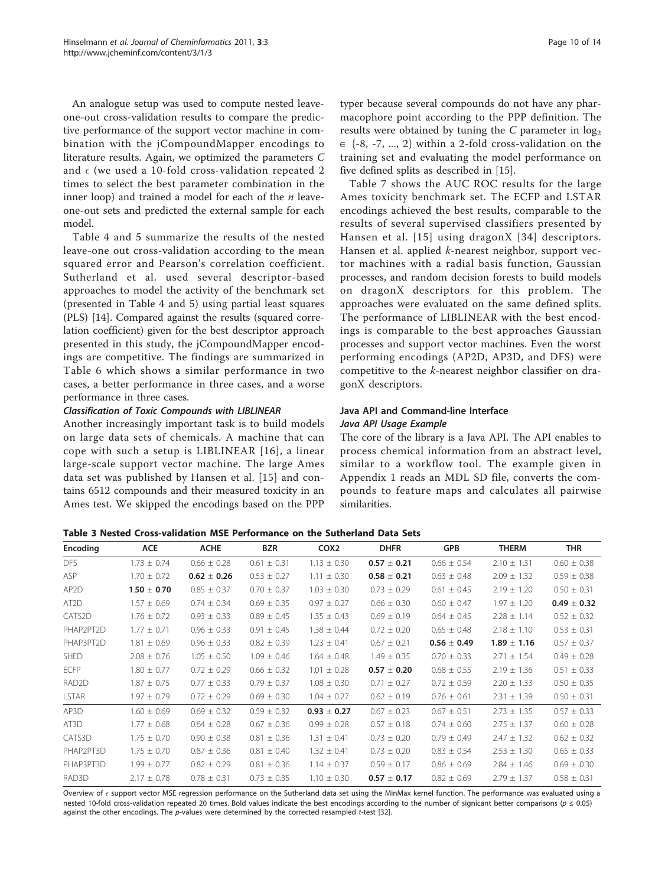<span id="page-9-0"></span>An analogue setup was used to compute nested leaveone-out cross-validation results to compare the predictive performance of the support vector machine in combination with the jCompoundMapper encodings to literature results. Again, we optimized the parameters C and  $\epsilon$  (we used a 10-fold cross-validation repeated 2 times to select the best parameter combination in the inner loop) and trained a model for each of the  $n$  leaveone-out sets and predicted the external sample for each model.

Table [4](#page-10-0) and [5](#page-10-0) summarize the results of the nested leave-one out cross-validation according to the mean squared error and Pearson's correlation coefficient. Sutherland et al. used several descriptor-based approaches to model the activity of the benchmark set (presented in Table [4](#page-10-0) and [5\)](#page-10-0) using partial least squares (PLS) [\[14](#page-13-0)]. Compared against the results (squared correlation coefficient) given for the best descriptor approach presented in this study, the jCompoundMapper encodings are competitive. The findings are summarized in Table [6](#page-10-0) which shows a similar performance in two cases, a better performance in three cases, and a worse performance in three cases.

#### Classification of Toxic Compounds with LIBLINEAR

Another increasingly important task is to build models on large data sets of chemicals. A machine that can cope with such a setup is LIBLINEAR [[16](#page-13-0)], a linear large-scale support vector machine. The large Ames data set was published by Hansen et al. [[15](#page-13-0)] and contains 6512 compounds and their measured toxicity in an Ames test. We skipped the encodings based on the PPP

typer because several compounds do not have any pharmacophore point according to the PPP definition. The results were obtained by tuning the  $C$  parameter in  $log<sub>2</sub>$  $\in$  {-8, -7, ..., 2} within a 2-fold cross-validation on the training set and evaluating the model performance on five defined splits as described in [\[15\]](#page-13-0).

Table [7](#page-10-0) shows the AUC ROC results for the large Ames toxicity benchmark set. The ECFP and LSTAR encodings achieved the best results, comparable to the results of several supervised classifiers presented by Hansen et al. [[15\]](#page-13-0) using dragonX [[34\]](#page-13-0) descriptors. Hansen et al. applied k-nearest neighbor, support vector machines with a radial basis function, Gaussian processes, and random decision forests to build models on dragonX descriptors for this problem. The approaches were evaluated on the same defined splits. The performance of LIBLINEAR with the best encodings is comparable to the best approaches Gaussian processes and support vector machines. Even the worst performing encodings (AP2D, AP3D, and DFS) were competitive to the k-nearest neighbor classifier on dragonX descriptors.

#### Java API and Command-line Interface Java API Usage Example

The core of the library is a Java API. The API enables to process chemical information from an abstract level, similar to a workflow tool. The example given in Appendix 1 reads an MDL SD file, converts the compounds to feature maps and calculates all pairwise similarities.

Table 3 Nested Cross-validation MSE Performance on the Sutherland Data Sets

| Encoding           | <b>ACE</b>      | <b>ACHE</b>     | BZR             | COX <sub>2</sub> | <b>DHFR</b>     | GPB             | <b>THERM</b>    | THR             |
|--------------------|-----------------|-----------------|-----------------|------------------|-----------------|-----------------|-----------------|-----------------|
| <b>DFS</b>         | $1.73 \pm 0.74$ | $0.66 \pm 0.28$ | $0.61 \pm 0.31$ | $1.13 \pm 0.30$  | $0.57 \pm 0.21$ | $0.66 \pm 0.54$ | $2.10 \pm 1.31$ | $0.60 \pm 0.38$ |
| <b>ASP</b>         | $1.70 \pm 0.72$ | $0.62 \pm 0.26$ | $0.53 \pm 0.27$ | $1.11 \pm 0.30$  | $0.58 \pm 0.21$ | $0.63 \pm 0.48$ | $2.09 \pm 1.32$ | $0.59 \pm 0.38$ |
| AP2D               | $1.50 \pm 0.70$ | $0.85 \pm 0.37$ | $0.70 \pm 0.37$ | $1.03 \pm 0.30$  | $0.73 \pm 0.29$ | $0.61 \pm 0.45$ | $2.19 \pm 1.20$ | $0.50 \pm 0.31$ |
| AT <sub>2</sub> D  | $1.57 \pm 0.69$ | $0.74 \pm 0.34$ | $0.69 \pm 0.35$ | $0.97 \pm 0.27$  | $0.66 \pm 0.30$ | $0.60 \pm 0.47$ | $1.97 \pm 1.20$ | $0.49 \pm 0.32$ |
| CATS2D             | $1.76 \pm 0.72$ | $0.93 \pm 0.33$ | $0.89 \pm 0.45$ | $1.35 \pm 0.43$  | $0.69 \pm 0.19$ | $0.64 \pm 0.45$ | $2.28 \pm 1.14$ | $0.52 \pm 0.32$ |
| PHAP2PT2D          | $1.77 \pm 0.71$ | $0.96 \pm 0.33$ | $0.91 \pm 0.45$ | $1.38 \pm 0.44$  | $0.72 \pm 0.20$ | $0.65 \pm 0.48$ | $2.18 \pm 1.10$ | $0.53 \pm 0.31$ |
| PHAP3PT2D          | $1.81 \pm 0.69$ | $0.96 \pm 0.33$ | $0.82 \pm 0.39$ | $1.23 \pm 0.41$  | $0.67 \pm 0.21$ | $0.56 \pm 0.49$ | $1.89 \pm 1.16$ | $0.57 \pm 0.37$ |
| <b>SHED</b>        | $2.08 \pm 0.76$ | $1.05 \pm 0.50$ | $1.09 \pm 0.46$ | $1.64 \pm 0.48$  | $1.49 \pm 0.35$ | $0.70 \pm 0.33$ | $2.71 \pm 1.54$ | $0.49 \pm 0.28$ |
| <b>ECFP</b>        | $1.80 \pm 0.77$ | $0.72 \pm 0.29$ | $0.66 \pm 0.32$ | $1.01 \pm 0.28$  | $0.57 \pm 0.20$ | $0.68 \pm 0.55$ | $2.19 \pm 1.36$ | $0.51 \pm 0.33$ |
| RAD <sub>2</sub> D | $1.87 \pm 0.75$ | $0.77 \pm 0.33$ | $0.79 \pm 0.37$ | $1.08 \pm 0.30$  | $0.71 \pm 0.27$ | $0.72 \pm 0.59$ | $2.20 \pm 1.33$ | $0.50 \pm 0.35$ |
| <b>LSTAR</b>       | $1.97 \pm 0.79$ | $0.72 \pm 0.29$ | $0.69 \pm 0.30$ | $1.04 \pm 0.27$  | $0.62 \pm 0.19$ | $0.76 \pm 0.61$ | $2.31 \pm 1.39$ | $0.50 \pm 0.31$ |
| AP3D               | $1.60 \pm 0.69$ | $0.69 \pm 0.32$ | $0.59 \pm 0.32$ | $0.93 \pm 0.27$  | $0.67 \pm 0.23$ | $0.67 \pm 0.51$ | $2.73 \pm 1.35$ | $0.57 \pm 0.33$ |
| AT3D               | $1.77 \pm 0.68$ | $0.64 \pm 0.28$ | $0.67 \pm 0.36$ | $0.99 \pm 0.28$  | $0.57 \pm 0.18$ | $0.74 \pm 0.60$ | $2.75 \pm 1.37$ | $0.60 \pm 0.28$ |
| CATS3D             | $1.75 \pm 0.70$ | $0.90 \pm 0.38$ | $0.81 \pm 0.36$ | $1.31 \pm 0.41$  | $0.73 \pm 0.20$ | $0.79 \pm 0.49$ | $2.47 \pm 1.32$ | $0.62 \pm 0.32$ |
| PHAP2PT3D          | $1.75 \pm 0.70$ | $0.87 \pm 0.36$ | $0.81 \pm 0.40$ | $1.32 \pm 0.41$  | $0.73 \pm 0.20$ | $0.83 \pm 0.54$ | $2.53 \pm 1.30$ | $0.65 \pm 0.33$ |
| PHAP3PT3D          | $1.99 \pm 0.77$ | $0.82 \pm 0.29$ | $0.81 \pm 0.36$ | $1.14 \pm 0.37$  | $0.59 \pm 0.17$ | $0.86 \pm 0.69$ | $2.84 \pm 1.46$ | $0.69 \pm 0.30$ |
| RAD3D              | $2.17 \pm 0.78$ | $0.78 \pm 0.31$ | $0.73 \pm 0.35$ | $1.10 \pm 0.30$  | $0.57 \pm 0.17$ | $0.82 \pm 0.69$ | $2.79 \pm 1.37$ | $0.58 \pm 0.31$ |

Overview of  $\epsilon$  support vector MSE regression performance on the Sutherland data set using the MinMax kernel function. The performance was evaluated using a nested 10-fold cross-validation repeated 20 times. Bold values indicate the best encodings according to the number of signicant better comparisons ( $p \le 0.05$ ) against the other encodings. The p-values were determined by the corrected resampled t-test [[32\]](#page-13-0).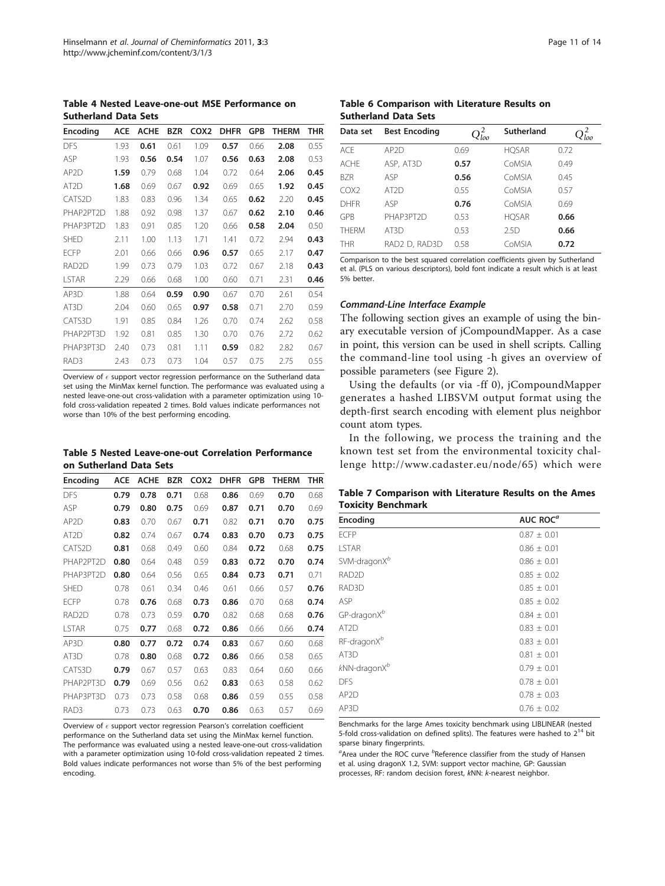<span id="page-10-0"></span>Table 4 Nested Leave-one-out MSE Performance on Sutherland Data Sets

| Encoding           | <b>ACE</b> | <b>ACHE</b> | <b>BZR</b> | COX <sub>2</sub> | <b>DHFR</b> | <b>GPB</b> | <b>THERM</b> | <b>THR</b> |
|--------------------|------------|-------------|------------|------------------|-------------|------------|--------------|------------|
| <b>DFS</b>         | 1.93       | 0.61        | 0.61       | 1.09             | 0.57        | 0.66       | 2.08         | 0.55       |
| ASP                | 1.93       | 0.56        | 0.54       | 1.07             | 0.56        | 0.63       | 2.08         | 0.53       |
| AP <sub>2</sub> D  | 1.59       | 0.79        | 0.68       | 1.04             | 0.72        | 0.64       | 2.06         | 0.45       |
| AT <sub>2</sub> D  | 1.68       | 0.69        | 0.67       | 0.92             | 0.69        | 0.65       | 1.92         | 0.45       |
| CATS2D             | 1.83       | 0.83        | 0.96       | 1.34             | 0.65        | 0.62       | 2.20         | 0.45       |
| PHAP2PT2D          | 1.88       | 0.92        | 0.98       | 1.37             | 0.67        | 0.62       | 2.10         | 0.46       |
| PHAP3PT2D          | 1.83       | 0.91        | 0.85       | 1.20             | 0.66        | 0.58       | 2.04         | 0.50       |
| <b>SHED</b>        | 2.11       | 1.00        | 1.13       | 1.71             | 1.41        | 0.72       | 2.94         | 0.43       |
| <b>ECFP</b>        | 2.01       | 0.66        | 0.66       | 0.96             | 0.57        | 0.65       | 2.17         | 0.47       |
| RAD <sub>2</sub> D | 1.99       | 0.73        | 0.79       | 1.03             | 0.72        | 0.67       | 2.18         | 0.43       |
| <b>LSTAR</b>       | 2.29       | 0.66        | 0.68       | 1.00             | 0.60        | 0.71       | 2.31         | 0.46       |
| AP3D               | 1.88       | 0.64        | 0.59       | 0.90             | 0.67        | 0.70       | 2.61         | 0.54       |
| AT <sub>3</sub> D  | 2.04       | 0.60        | 0.65       | 0.97             | 0.58        | 0.71       | 2.70         | 0.59       |
| CATS3D             | 1.91       | 0.85        | 0.84       | 1.26             | 0.70        | 0.74       | 2.62         | 0.58       |
| PHAP2PT3D          | 1.92       | 0.81        | 0.85       | 1.30             | 0.70        | 0.76       | 2.72         | 0.62       |
| PHAP3PT3D          | 2.40       | 0.73        | 0.81       | 1.11             | 0.59        | 0.82       | 2.82         | 0.67       |
| RAD3               | 2.43       | 0.73        | 0.73       | 1.04             | 0.57        | 0.75       | 2.75         | 0.55       |

Overview of  $\epsilon$  support vector regression performance on the Sutherland data set using the MinMax kernel function. The performance was evaluated using a nested leave-one-out cross-validation with a parameter optimization using 10 fold cross-validation repeated 2 times. Bold values indicate performances not worse than 10% of the best performing encoding.

#### Table 5 Nested Leave-one-out Correlation Performance on Sutherland Data Sets

| Encoding            | ACE  | <b>ACHE</b> | <b>BZR</b> | COX <sub>2</sub> | <b>DHFR</b> | <b>GPB</b> | <b>THERM</b> | THR  |
|---------------------|------|-------------|------------|------------------|-------------|------------|--------------|------|
| <b>DFS</b>          | 0.79 | 0.78        | 0.71       | 0.68             | 0.86        | 0.69       | 0.70         | 0.68 |
| ASP                 | 0.79 | 0.80        | 0.75       | 0.69             | 0.87        | 0.71       | 0.70         | 0.69 |
| AP <sub>2</sub> D   | 0.83 | 0.70        | 0.67       | 0.71             | 0.82        | 0.71       | 0.70         | 0.75 |
| AT <sub>2</sub> D   | 0.82 | 0.74        | 0.67       | 0.74             | 0.83        | 0.70       | 0.73         | 0.75 |
| CATS <sub>2</sub> D | 0.81 | 0.68        | 0.49       | 0.60             | 0.84        | 0.72       | 0.68         | 0.75 |
| PHAP2PT2D           | 0.80 | 0.64        | 0.48       | 0.59             | 0.83        | 0.72       | 0.70         | 0.74 |
| PHAP3PT2D           | 0.80 | 0.64        | 0.56       | 0.65             | 0.84        | 0.73       | 0.71         | 0.71 |
| <b>SHED</b>         | 0.78 | 0.61        | 0.34       | 0.46             | 0.61        | 0.66       | 0.57         | 0.76 |
| <b>ECFP</b>         | 0.78 | 0.76        | 0.68       | 0.73             | 0.86        | 0.70       | 0.68         | 0.74 |
| RAD <sub>2</sub> D  | 0.78 | 0.73        | 0.59       | 0.70             | 0.82        | 0.68       | 0.68         | 0.76 |
| <b>LSTAR</b>        | 0.75 | 0.77        | 0.68       | 0.72             | 0.86        | 0.66       | 0.66         | 0.74 |
| AP3D                | 0.80 | 0.77        | 0.72       | 0.74             | 0.83        | 0.67       | 0.60         | 0.68 |
| AT <sub>3</sub> D   | 0.78 | 0.80        | 0.68       | 0.72             | 0.86        | 0.66       | 0.58         | 0.65 |
| CATS3D              | 0.79 | 0.67        | 0.57       | 0.63             | 0.83        | 0.64       | 0.60         | 0.66 |
| PHAP2PT3D           | 0.79 | 0.69        | 0.56       | 0.62             | 0.83        | 0.63       | 0.58         | 0.62 |
| PHAP3PT3D           | 0.73 | 0.73        | 0.58       | 0.68             | 0.86        | 0.59       | 0.55         | 0.58 |
| RAD3                | 0.73 | 0.73        | 0.63       | 0.70             | 0.86        | 0.63       | 0.57         | 0.69 |

Overview of  $\epsilon$  support vector regression Pearson's correlation coefficient

performance on the Sutherland data set using the MinMax kernel function. The performance was evaluated using a nested leave-one-out cross-validation with a parameter optimization using 10-fold cross-validation repeated 2 times. Bold values indicate performances not worse than 5% of the best performing encoding.

#### Table 6 Comparison with Literature Results on Sutherland Data Sets

| Data set         | <b>Best Encoding</b> | $Q_{\text{loc}}^2$ | Sutherland   |      |
|------------------|----------------------|--------------------|--------------|------|
| <b>ACF</b>       | AP <sub>2</sub> D    | 0.69               | <b>HOSAR</b> | 0.72 |
| <b>ACHE</b>      | ASP, AT3D            | 0.57               | CoMSIA       | 0.49 |
| B <sub>7</sub> R | ASP                  | 0.56               | CoMSIA       | 0.45 |
| COX <sub>2</sub> | AT <sub>2</sub> D    | 0.55               | CoMSIA       | 0.57 |
| <b>DHFR</b>      | ASP                  | 0.76               | CoMSIA       | 0.69 |
| GPB              | PHAP3PT2D            | 0.53               | <b>HOSAR</b> | 0.66 |
| <b>THFRM</b>     | AT3D                 | 0.53               | 2.5D         | 0.66 |
| <b>THR</b>       | RAD2 D. RAD3D        | 0.58               | CoMSIA       | 0.72 |

Comparison to the best squared correlation coefficients given by Sutherland et al. (PLS on various descriptors), bold font indicate a result which is at least 5% better.

#### Command-Line Interface Example

The following section gives an example of using the binary executable version of jCompoundMapper. As a case in point, this version can be used in shell scripts. Calling the command-line tool using -h gives an overview of possible parameters (see Figure [2](#page-11-0)).

Using the defaults (or via -ff 0), jCompoundMapper generates a hashed LIBSVM output format using the depth-first search encoding with element plus neighbor count atom types.

In the following, we process the training and the known test set from the environmental toxicity challenge<http://www.cadaster.eu/node/65>) which were

| Table 7 Comparison with Literature Results on the Ames |  |  |  |
|--------------------------------------------------------|--|--|--|
| <b>Toxicity Benchmark</b>                              |  |  |  |

| Encoding                 | AUC ROC <sup>a</sup> |
|--------------------------|----------------------|
| <b>FCFP</b>              | $0.87 \pm 0.01$      |
| <b>LSTAR</b>             | $0.86 \pm 0.01$      |
| SVM-dragonX <sup>b</sup> | $0.86 \pm 0.01$      |
| RAD <sub>2</sub> D       | $0.85 \pm 0.02$      |
| RAD3D                    | $0.85 \pm 0.01$      |
| ASP                      | $0.85 \pm 0.02$      |
| $GP$ -dragon $X^b$       | $0.84 \pm 0.01$      |
| AT <sub>2</sub> D        | $0.83 \pm 0.01$      |
| RF-dragonX <sup>b</sup>  | $0.83 \pm 0.01$      |
| AT <sub>3</sub> D        | $0.81 \pm 0.01$      |
| $kNN$ -dragon $X^b$      | $0.79 \pm 0.01$      |
| <b>DFS</b>               | $0.78 \pm 0.01$      |
| AP <sub>2</sub> D        | $0.78 \pm 0.03$      |
| AP3D                     | $0.76 \pm 0.02$      |
|                          |                      |

Benchmarks for the large Ames toxicity benchmark using LIBLINEAR (nested 5-fold cross-validation on defined splits). The features were hashed to  $2^{14}$  bit sparse binary fingerprints.

<sup>a</sup>Area under the ROC curve <sup>b</sup>Reference classifier from the study of Hansen et al. using dragonX 1.2, SVM: support vector machine, GP: Gaussian processes, RF: random decision forest, kNN: k-nearest neighbor.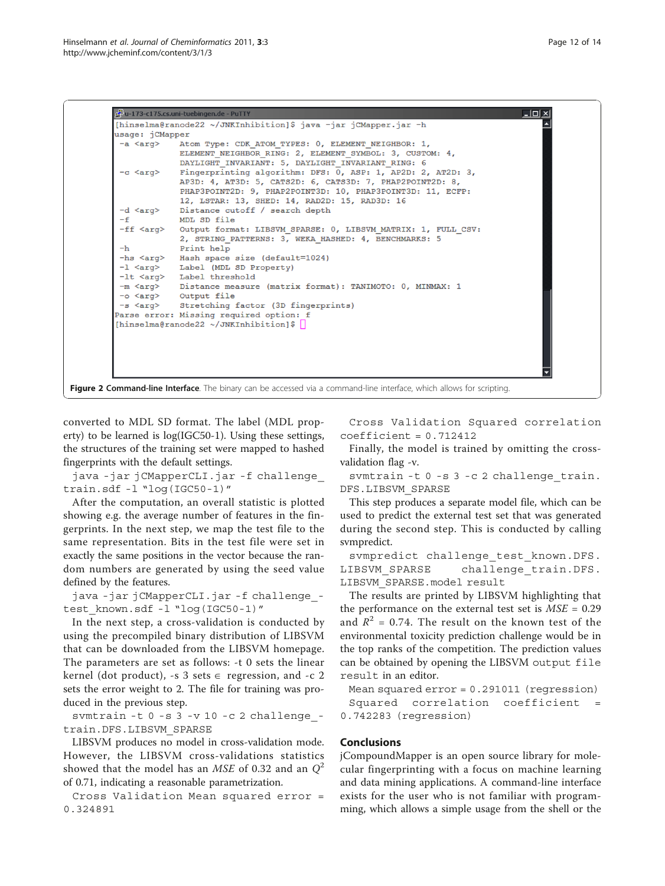```
-|D|\timesu-173-c175.cs.uni-tuebingen.de - PuTTY
           [hinselma@ranode22 ~/JNKInhibition]$ java -jar jCMapper.jar -h
           usage: jCMapper
            -a \xrightarrow{\text{arg}}Atom Type: CDK_ATOM_TYPES: 0, ELEMENT_NEIGHBOR: 1,
                          ELEMENT NEIGHBOR RING: 2, ELEMENT SYMBOL: 3, CUSTOM: 4,
                          DAYLIGHT INVARIANT: 5, DAYLIGHT INVARIANT RING: 6
                          Fingerprinting algorithm: DFS: \overline{0}, ASP: 1, AP2D: 2, AT2D: 3,
            -c \langle \text{arg} \rangleAP3D: 4, AT3D: 5, CATS2D: 6, CATS3D: 7, PHAP2POINT2D: 8,
                          PHAP3POINT2D: 9, PHAP2POINT3D: 10, PHAP3POINT3D: 11, ECFP:
                          12, LSTAR: 13, SHED: 14, RAD2D: 15, RAD3D: 16
                          Distance cutoff / search depth
            -d < arg-fMDL SD file
           -ff \langle arg \rangleOutput format: LIBSVM SPARSE: 0, LIBSVM MATRIX: 1, FULL CSV:
                          2, STRING_PATTERNS: 3, WEKA_HASHED: 4, BENCHMARKS: 5
            -hPrint help
           -hs <i>arg</i>Hash space size (default=1024)
           -1 <arg>
                          Label (MDL SD Property)
           -lt <arg>
                          Label threshold
            -m < arg>
                          Distance measure (matrix format): TANIMOTO: 0, MINMAX: 1
           -o \langle arg \rangleOutput file
                          Stretching factor (3D fingerprints)
           -s <arg>
           Parse error: Missing required option: f
           [{\tt hinselma}\texttt{granode22}\ \textcolor{red}{\textcolor{blue}{\sim}}/\texttt{JNKInhibition}]\textcolor{red}{\textbf{\$}}Figure 2 Command-line Interface. The binary can be accessed via a command-line interface, which allows for scripting.
```
converted to MDL SD format. The label (MDL property) to be learned is log(IGC50-1). Using these settings, the structures of the training set were mapped to hashed fingerprints with the default settings.

java -jar jCMapperCLI.jar -f challenge\_ train.sdf -l "log(IGC50-1)"

After the computation, an overall statistic is plotted showing e.g. the average number of features in the fingerprints. In the next step, we map the test file to the same representation. Bits in the test file were set in exactly the same positions in the vector because the random numbers are generated by using the seed value defined by the features.

java -jar jCMapperCLI.jar -f challenge\_ test known.sdf -l "log(IGC50-1)"

In the next step, a cross-validation is conducted by using the precompiled binary distribution of LIBSVM that can be downloaded from the LIBSVM homepage. The parameters are set as follows: -t 0 sets the linear kernel (dot product), -s 3 sets  $\epsilon$  regression, and -c 2 sets the error weight to 2. The file for training was produced in the previous step.

svmtrain -t 0 -s 3 -v 10 -c 2 challenge\_ train.DFS.LIBSVM\_SPARSE

LIBSVM produces no model in cross-validation mode. However, the LIBSVM cross-validations statistics showed that the model has an MSE of 0.32 and an  $Q^2$ of 0.71, indicating a reasonable parametrization.

Cross Validation Mean squared error = 0.324891

Cross Validation Squared correlation  $coefficient = 0.712412$ 

Finally, the model is trained by omitting the crossvalidation flag -v.

svmtrain -t 0 -s 3 -c 2 challenge\_train. DFS.LIBSVM\_SPARSE

This step produces a separate model file, which can be used to predict the external test set that was generated during the second step. This is conducted by calling svmpredict.

svmpredict challenge\_test\_known.DFS. LIBSVM SPARSE challenge train.DFS. LIBSVM\_SPARSE.model result

The results are printed by LIBSVM highlighting that the performance on the external test set is  $MSE = 0.29$ and  $R^2 = 0.74$ . The result on the known test of the environmental toxicity prediction challenge would be in the top ranks of the competition. The prediction values can be obtained by opening the LIBSVM output file result in an editor.

```
Mean squared error = 0.291011 (regression)
 Squared correlation coefficient =
0.742283 (regression)
```
#### Conclusions

jCompoundMapper is an open source library for molecular fingerprinting with a focus on machine learning and data mining applications. A command-line interface exists for the user who is not familiar with programming, which allows a simple usage from the shell or the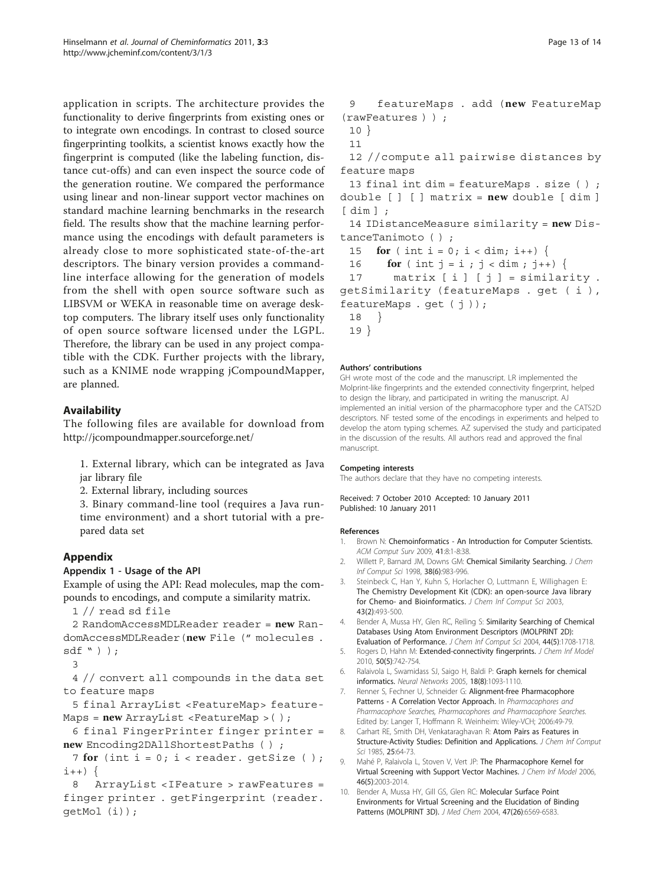<span id="page-12-0"></span>application in scripts. The architecture provides the functionality to derive fingerprints from existing ones or to integrate own encodings. In contrast to closed source fingerprinting toolkits, a scientist knows exactly how the fingerprint is computed (like the labeling function, distance cut-offs) and can even inspect the source code of the generation routine. We compared the performance using linear and non-linear support vector machines on standard machine learning benchmarks in the research field. The results show that the machine learning performance using the encodings with default parameters is already close to more sophisticated state-of-the-art descriptors. The binary version provides a commandline interface allowing for the generation of models from the shell with open source software such as LIBSVM or WEKA in reasonable time on average desktop computers. The library itself uses only functionality of open source software licensed under the LGPL. Therefore, the library can be used in any project compatible with the CDK. Further projects with the library, such as a KNIME node wrapping jCompoundMapper, are planned.

#### Availability

The following files are available for download from <http://jcompoundmapper.sourceforge.net/>

1. External library, which can be integrated as Java jar library file

2. External library, including sources

3. Binary command-line tool (requires a Java runtime environment) and a short tutorial with a prepared data set

### Appendix

#### Appendix 1 - Usage of the API

Example of using the API: Read molecules, map the compounds to encodings, and compute a similarity matrix.

1 // read sd file

2 RandomAccessMDLReader reader = new RandomAccessMDLReader(new File (" molecules . sdf " ) );

3

4 // convert all compounds in the data set to feature maps

5 final ArrayList <FeatureMap> feature-Maps =  $new$  ArrayList <FeatureMap > ();

6 final FingerPrinter finger printer = new Encoding2DAllShortestPaths ( ) ;

7 for (int  $i = 0$ ;  $i <$  reader. getSize ();  $i+1$  {

8 ArrayList <IFeature > rawFeatures = finger printer . getFingerprint (reader. getMol (i));

9 featureMaps . add (new FeatureMap (rawFeatures ) ) ;

10 }

11

12 //compute all pairwise distances by feature maps

13 final int dim = featureMaps . size ( ) ; double  $[]$   $[]$  matrix = **new** double  $[dim]$ [ dim ] ;

14 IDistanceMeasure similarity = new DistanceTanimoto ( ) ;

15 **for** ( int i = 0; i < dim; i++) {

16 **for** ( int  $j = i$  ;  $j < dim$  ;  $j++)$  {

17 matrix [i] [j] = similarity. getSimilarity (featureMaps . get ( i ), featureMaps . get ( j ));

18 }

19 }

#### Authors' contributions

GH wrote most of the code and the manuscript. LR implemented the Molprint-like fingerprints and the extended connectivity fingerprint, helped to design the library, and participated in writing the manuscript. AJ implemented an initial version of the pharmacophore typer and the CATS2D descriptors. NF tested some of the encodings in experiments and helped to develop the atom typing schemes. AZ supervised the study and participated in the discussion of the results. All authors read and approved the final manuscript.

#### Competing interests

The authors declare that they have no competing interests.

Received: 7 October 2010 Accepted: 10 January 2011 Published: 10 January 2011

#### References

- 1. Brown N: Chemoinformatics An Introduction for Computer Scientists. ACM Comput Surv 2009, 41:8:1-8:38.
- 2. Willett P, Barnard JM, Downs GM: Chemical Similarity Searching, J Chem Inf Comput Sci 1998, 38(6):983-996.
- 3. Steinbeck C, Han Y, Kuhn S, Horlacher O, Luttmann E, Willighagen E: [The Chemistry Development Kit \(CDK\): an open-source Java library](http://www.ncbi.nlm.nih.gov/pubmed/12653513?dopt=Abstract) [for Chemo- and Bioinformatics.](http://www.ncbi.nlm.nih.gov/pubmed/12653513?dopt=Abstract) J Chem Inf Comput Sci 2003, 43(2):493-500.
- 4. Bender A, Mussa HY, Glen RC, Reiling S: [Similarity Searching of Chemical](http://www.ncbi.nlm.nih.gov/pubmed/15446830?dopt=Abstract) [Databases Using Atom Environment Descriptors \(MOLPRINT 2D\):](http://www.ncbi.nlm.nih.gov/pubmed/15446830?dopt=Abstract) [Evaluation of Performance.](http://www.ncbi.nlm.nih.gov/pubmed/15446830?dopt=Abstract) J Chem Inf Comput Sci 2004, 44(5):1708-1718.
- 5. Rogers D, Hahn M: [Extended-connectivity fingerprints.](http://www.ncbi.nlm.nih.gov/pubmed/20426451?dopt=Abstract) J Chem Inf Model 2010, 50(5):742-754.
- 6. Ralaivola L, Swamidass SJ, Saigo H, Baldi P: [Graph kernels for chemical](http://www.ncbi.nlm.nih.gov/pubmed/16157471?dopt=Abstract) [informatics.](http://www.ncbi.nlm.nih.gov/pubmed/16157471?dopt=Abstract) Neural Networks 2005, 18(8):1093-1110.
- 7. Renner S, Fechner U, Schneider G: Alignment-free Pharmacophore Patterns - A Correlation Vector Approach. In Pharmacophores and Pharmacophore Searches, Pharmacophores and Pharmacophore Searches. Edited by: Langer T, Hoffmann R. Weinheim: Wiley-VCH; 2006:49-79.
- 8. Carhart RE, Smith DH, Venkataraghavan R: Atom Pairs as Features in Structure-Activity Studies: Definition and Applications. J Chem Inf Comput Sci 1985, 25:64-73.
- 9. Mahé P, Ralaivola L, Stoven V, Vert JP: [The Pharmacophore Kernel for](http://www.ncbi.nlm.nih.gov/pubmed/16995731?dopt=Abstract) [Virtual Screening with Support Vector Machines.](http://www.ncbi.nlm.nih.gov/pubmed/16995731?dopt=Abstract) J Chem Inf Model 2006, 46(5):2003-2014.
- 10. Bender A, Mussa HY, Gill GS, Glen RC: [Molecular Surface Point](http://www.ncbi.nlm.nih.gov/pubmed/15588092?dopt=Abstract) [Environments for Virtual Screening and the Elucidation of Binding](http://www.ncbi.nlm.nih.gov/pubmed/15588092?dopt=Abstract) [Patterns \(MOLPRINT 3D\).](http://www.ncbi.nlm.nih.gov/pubmed/15588092?dopt=Abstract) J Med Chem 2004, 47(26):6569-6583.